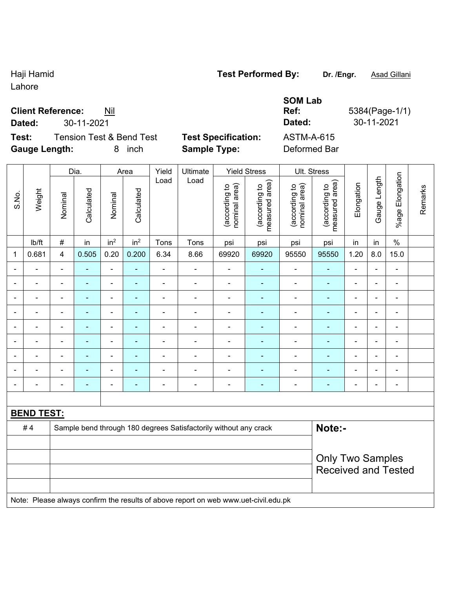Lahore

### **Client Reference:** Nil

**Dated:** 30-11-2021 **Dated:** 30-11-2021

**Test:** Tension Test & Bend Test **Test Specification:** ASTM-A-615 **Gauge Length:** 8 inch **Sample Type:** Deformed Bar

Dia. | Area | Yield | Ultimate | Yield Stress | Ult. Stress

**SOM Lab** 

 $\mathbf{r}$ 

**Ref:** 5384(Page-1/1)

|             |                   |                          | Dia.           |                 | Area            |                          | Ultimate                                                                            |                                | Yield Stress                    |                                | UII. Stress                     |                          |                          |                 |         |  |
|-------------|-------------------|--------------------------|----------------|-----------------|-----------------|--------------------------|-------------------------------------------------------------------------------------|--------------------------------|---------------------------------|--------------------------------|---------------------------------|--------------------------|--------------------------|-----------------|---------|--|
| S.No.       | Weight            | Nominal                  | Calculated     | Nominal         | Calculated      | Load                     | Load                                                                                | nominal area)<br>(according to | (according to<br>measured area) | (according to<br>nominal area) | (according to<br>measured area) | Elongation               | Gauge Length             | %age Elongation | Remarks |  |
|             | lb/ft             | $\#$                     | in             | in <sup>2</sup> | in <sup>2</sup> | Tons                     | Tons                                                                                | psi                            | psi                             | psi                            | psi                             | in                       | in                       | $\%$            |         |  |
| $\mathbf 1$ | 0.681             | $\overline{\mathbf{4}}$  | 0.505          | 0.20            | 0.200           | 6.34                     | 8.66                                                                                | 69920                          | 69920                           | 95550                          | 95550                           | 1.20                     | 8.0                      | 15.0            |         |  |
|             |                   | $\blacksquare$           |                | $\blacksquare$  | ÷,              | ä,                       |                                                                                     | $\overline{a}$                 |                                 | $\blacksquare$                 | $\blacksquare$                  | $\blacksquare$           | $\blacksquare$           | Ξ.              |         |  |
|             |                   | $\overline{a}$           | $\blacksquare$ | ÷,              | $\blacksquare$  | ÷                        | $\overline{\phantom{a}}$                                                            | $\overline{\phantom{a}}$       | $\blacksquare$                  | $\qquad \qquad \blacksquare$   | ٠                               |                          | $\blacksquare$           | $\blacksquare$  |         |  |
|             |                   | $\overline{\phantom{a}}$ | $\blacksquare$ | ÷,              | $\blacksquare$  | $\overline{\phantom{a}}$ | $\overline{\phantom{a}}$                                                            | $\overline{\phantom{a}}$       | $\blacksquare$                  | $\overline{\phantom{a}}$       | $\blacksquare$                  | $\overline{\phantom{a}}$ | $\blacksquare$           | $\blacksquare$  |         |  |
|             |                   | $\blacksquare$           | ÷              | $\blacksquare$  | $\blacksquare$  | ÷                        | ÷                                                                                   | $\overline{a}$                 | $\blacksquare$                  | $\blacksquare$                 | ÷                               | $\overline{\phantom{0}}$ | $\blacksquare$           |                 |         |  |
|             |                   |                          |                |                 | ۰               | $\blacksquare$           |                                                                                     | ۰                              | ٠                               | $\blacksquare$                 | ä,                              |                          | $\blacksquare$           | -               |         |  |
|             |                   | $\blacksquare$           | ٠              | ۰               | ۰               | $\blacksquare$           | $\blacksquare$                                                                      | $\qquad \qquad \blacksquare$   | ۰                               | $\blacksquare$                 | $\blacksquare$                  | $\overline{\phantom{0}}$ | $\overline{\phantom{a}}$ |                 |         |  |
|             |                   | $\blacksquare$           | ٠              | $\blacksquare$  | ÷               | ÷                        |                                                                                     | $\overline{a}$                 | $\overline{a}$                  | $\overline{\phantom{a}}$       | ۰                               | $\overline{\phantom{0}}$ | $\blacksquare$           | $\blacksquare$  |         |  |
|             |                   | $\blacksquare$           | $\blacksquare$ | $\blacksquare$  | $\blacksquare$  | $\blacksquare$           | $\blacksquare$                                                                      | $\overline{a}$                 | $\blacksquare$                  | $\blacksquare$                 | $\blacksquare$                  | $\blacksquare$           | $\blacksquare$           | ä,              |         |  |
|             |                   |                          |                |                 | ۰               | $\blacksquare$           | $\blacksquare$                                                                      | $\qquad \qquad \blacksquare$   | $\overline{\phantom{a}}$        | ۰                              |                                 |                          | $\blacksquare$           | $\blacksquare$  |         |  |
|             |                   |                          |                |                 |                 |                          |                                                                                     |                                |                                 |                                |                                 |                          |                          |                 |         |  |
|             | <b>BEND TEST:</b> |                          |                |                 |                 |                          |                                                                                     |                                |                                 |                                |                                 |                          |                          |                 |         |  |
|             | #4                |                          |                |                 |                 |                          | Sample bend through 180 degrees Satisfactorily without any crack                    |                                |                                 |                                | Note:-                          |                          |                          |                 |         |  |
|             |                   |                          |                |                 |                 |                          |                                                                                     |                                |                                 |                                |                                 |                          |                          |                 |         |  |
|             |                   | <b>Only Two Samples</b>  |                |                 |                 |                          |                                                                                     |                                |                                 |                                |                                 |                          |                          |                 |         |  |
|             |                   |                          |                |                 |                 |                          |                                                                                     |                                |                                 |                                | <b>Received and Tested</b>      |                          |                          |                 |         |  |
|             |                   |                          |                |                 |                 |                          |                                                                                     |                                |                                 |                                |                                 |                          |                          |                 |         |  |
|             |                   |                          |                |                 |                 |                          | Note: Please always confirm the results of above report on web www.uet-civil.edu.pk |                                |                                 |                                |                                 |                          |                          |                 |         |  |

# Haji Hamid **Test Performed By:** Dr. /Engr. **Asad Gillani** Captus Association Contract Association Contract Association Contract Association Contract Association Contract Association Contract Association Contract Associatio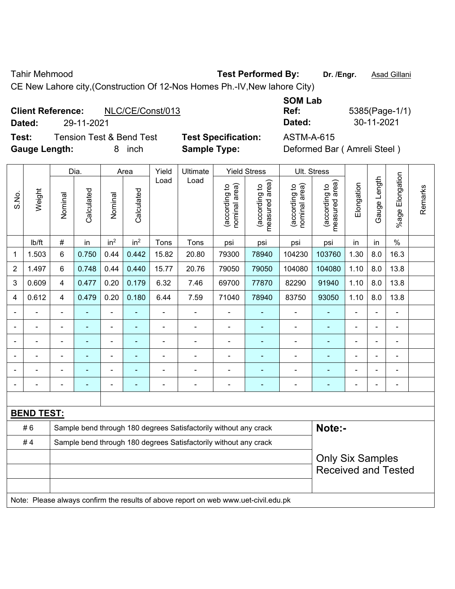Tahir Mehmood **Test Performed By: Dr. /Engr.** Asad Gillani

CE New Lahore city,(Construction Of 12-Nos Homes Ph.-IV,New lahore City)

## **Client Reference:** NLC/CE/Const/013

**Test:** Tension Test & Bend Test **Test Specification:** ASTM-A-615 **Gauge Length:** 8 inch **Sample Type:** Deformed Bar ( Amreli Steel )

**SOM Lab Ref:** 5385(Page-1/1) **Dated:** 29-11-2021 **Dated:** 30-11-2021

|                |                   |                | Dia.           |                 | Area            | Yield                                                            | Ultimate                                                                            |                                | <b>Yield Stress</b>             |                                | Ult. Stress                     |                |                |                          |         |
|----------------|-------------------|----------------|----------------|-----------------|-----------------|------------------------------------------------------------------|-------------------------------------------------------------------------------------|--------------------------------|---------------------------------|--------------------------------|---------------------------------|----------------|----------------|--------------------------|---------|
| S.No.          | Weight            | Nominal        | Calculated     | Nominal         | Calculated      | Load                                                             | Load                                                                                | nominal area)<br>(according to | (according to<br>measured area) | nominal area)<br>(according to | measured area)<br>(according to | Elongation     | Gauge Length   | %age Elongation          | Remarks |
|                | lb/ft             | #              | in             | in <sup>2</sup> | in <sup>2</sup> | Tons                                                             | Tons                                                                                | psi                            | psi                             | psi                            | psi                             | in             | in             | $\frac{0}{0}$            |         |
| 1              | 1.503             | 6              | 0.750          | 0.44            | 0.442           | 15.82                                                            | 20.80                                                                               | 79300                          | 78940                           | 104230                         | 103760                          | 1.30           | 8.0            | 16.3                     |         |
| $\overline{2}$ | 1.497             | 6              | 0.748          | 0.44            | 0.440           | 15.77                                                            | 20.76                                                                               | 79050                          | 79050                           | 104080                         | 104080                          | 1.10           | 8.0            | 13.8                     |         |
| 3              | 0.609             | $\overline{4}$ | 0.477          | 0.20            | 0.179           | 6.32                                                             | 7.46                                                                                | 69700                          | 77870                           | 82290                          | 91940                           | 1.10           | 8.0            | 13.8                     |         |
| 4              | 0.612             | 4              | 0.479          | 0.20            | 0.180           | 6.44                                                             | 7.59                                                                                | 71040                          | 78940                           | 83750                          | 93050                           | 1.10           | 8.0            | 13.8                     |         |
|                | $\blacksquare$    | $\blacksquare$ | $\blacksquare$ | ÷,              |                 | ä,                                                               | $\blacksquare$                                                                      | $\blacksquare$                 | $\blacksquare$                  | $\overline{\phantom{a}}$       | ٠                               | $\blacksquare$ | $\blacksquare$ | $\blacksquare$           |         |
|                | ä,                | $\blacksquare$ | ۰              | ÷,              | ۰               | $\blacksquare$                                                   | $\blacksquare$                                                                      | $\blacksquare$                 | $\overline{\phantom{a}}$        |                                | $\blacksquare$                  | $\blacksquare$ | $\blacksquare$ | $\overline{\phantom{a}}$ |         |
|                | $\blacksquare$    | ä,             | ÷,             | ۰               | ۰               | ä,                                                               | $\blacksquare$                                                                      | $\overline{a}$                 | $\blacksquare$                  | $\blacksquare$                 | Ξ                               | $\blacksquare$ | $\blacksquare$ | ÷,                       |         |
|                |                   |                | ۰              | ۰               |                 |                                                                  |                                                                                     |                                | ٠                               | ä,                             | ٠                               |                |                | $\blacksquare$           |         |
|                |                   |                |                | ۰               |                 |                                                                  |                                                                                     |                                |                                 |                                | $\blacksquare$                  |                |                |                          |         |
|                |                   |                |                | -               |                 |                                                                  | $\overline{\phantom{0}}$                                                            | Ē,                             | $\blacksquare$                  | -                              | ÷                               | $\blacksquare$ |                | $\blacksquare$           |         |
|                |                   |                |                |                 |                 |                                                                  |                                                                                     |                                |                                 |                                |                                 |                |                |                          |         |
|                | <b>BEND TEST:</b> |                |                |                 |                 |                                                                  |                                                                                     |                                |                                 |                                |                                 |                |                |                          |         |
|                | #6                |                |                |                 |                 |                                                                  | Sample bend through 180 degrees Satisfactorily without any crack                    |                                |                                 |                                | Note:-                          |                |                |                          |         |
|                | #4                |                |                |                 |                 | Sample bend through 180 degrees Satisfactorily without any crack |                                                                                     |                                |                                 |                                |                                 |                |                |                          |         |
|                |                   |                |                |                 |                 |                                                                  |                                                                                     |                                |                                 |                                | <b>Only Six Samples</b>         |                |                |                          |         |
|                |                   |                |                |                 |                 |                                                                  |                                                                                     |                                |                                 |                                | <b>Received and Tested</b>      |                |                |                          |         |
|                |                   |                |                |                 |                 |                                                                  |                                                                                     |                                |                                 |                                |                                 |                |                |                          |         |
|                |                   |                |                |                 |                 |                                                                  | Note: Please always confirm the results of above report on web www.uet-civil.edu.pk |                                |                                 |                                |                                 |                |                |                          |         |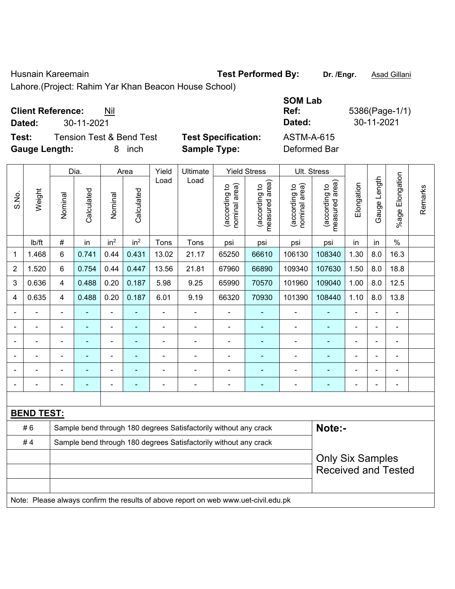Husnain Kareemain **Test Performed By:** Dr. /Engr. **Asad Gillani** 

Lahore.(Project: Rahim Yar Khan Beacon House School)

## **Client Reference:** Nil

**Test:** Tension Test & Bend Test **Test Specification:** ASTM-A-615 **Gauge Length:** 8 inch **Sample Type:** Deformed Bar

**SOM Lab Ref:** 5386(Page-1/1) **Dated:** 30-11-2021 **Dated:** 30-11-2021

|                |                   |                                                                  | Dia.           |                 | Area            | Yield          | Ultimate                                                                            |                                | <b>Yield Stress</b>             | Ult. Stress                    |                                                       |                |              |                       |         |
|----------------|-------------------|------------------------------------------------------------------|----------------|-----------------|-----------------|----------------|-------------------------------------------------------------------------------------|--------------------------------|---------------------------------|--------------------------------|-------------------------------------------------------|----------------|--------------|-----------------------|---------|
| S.No.          | Weight            | Nominal                                                          | Calculated     | Nominal         | Calculated      | Load           | Load                                                                                | nominal area)<br>(according to | (according to<br>measured area) | nominal area)<br>(according to | (according to<br>measured area)                       | Elongation     | Gauge Length | Elongation<br>$%$ age | Remarks |
|                | lb/ft             | $\#$                                                             | in             | in <sup>2</sup> | in <sup>2</sup> | Tons           | Tons                                                                                | psi                            | psi                             | psi                            | psi                                                   | in             | in           | $\frac{0}{0}$         |         |
| $\mathbf{1}$   | 1.468             | 6                                                                | 0.741          | 0.44            | 0.431           | 13.02          | 21.17                                                                               | 65250                          | 66610                           | 106130                         | 108340                                                | 1.30           | 8.0          | 16.3                  |         |
| $\overline{2}$ | 1.520             | 6                                                                | 0.754          | 0.44            | 0.447           | 13.56          | 21.81                                                                               | 67960                          | 66890                           | 109340                         | 107630                                                | 1.50           | 8.0          | 18.8                  |         |
| 3              | 0.636             | 4                                                                | 0.488          | 0.20            | 0.187           | 5.98           | 9.25                                                                                | 65990                          | 70570                           | 101960                         | 109040                                                | 1.00           | 8.0          | 12.5                  |         |
| 4              | 0.635             | 4                                                                | 0.488          | 0.20            | 0.187           | 6.01           | 9.19                                                                                | 66320                          | 70930                           | 101390                         | 108440                                                | 1.10           | 8.0          | 13.8                  |         |
|                | ÷,                | $\frac{1}{2}$                                                    | $\blacksquare$ | $\blacksquare$  | ä,              | $\blacksquare$ | $\blacksquare$                                                                      | $\blacksquare$                 | $\blacksquare$                  | $\overline{\phantom{a}}$       | $\blacksquare$                                        | $\blacksquare$ | ÷.           | $\blacksquare$        |         |
|                | ä,                | $\blacksquare$                                                   | ä,             | $\blacksquare$  | $\blacksquare$  | ä,             | ä,                                                                                  | ÷,                             | ÷,                              | ä,                             | ÷                                                     | L,             |              | $\blacksquare$        |         |
|                |                   |                                                                  |                |                 |                 | ä,             | ÷                                                                                   | ä,                             |                                 | ÷,                             | ÷,                                                    |                |              |                       |         |
|                |                   | $\blacksquare$                                                   |                | $\overline{a}$  |                 |                | ÷                                                                                   | $\blacksquare$                 |                                 |                                | $\blacksquare$                                        |                |              | $\blacksquare$        |         |
|                |                   |                                                                  |                |                 |                 |                |                                                                                     | $\blacksquare$                 |                                 |                                | $\blacksquare$                                        |                |              | $\blacksquare$        |         |
| $\blacksquare$ |                   | $\blacksquare$                                                   |                | $\blacksquare$  | $\blacksquare$  | $\blacksquare$ | $\frac{1}{2}$                                                                       | ä,                             | ٠                               | ä,                             | $\blacksquare$                                        | $\blacksquare$ |              | $\blacksquare$        |         |
|                |                   |                                                                  |                |                 |                 |                |                                                                                     |                                |                                 |                                |                                                       |                |              |                       |         |
|                | <b>BEND TEST:</b> |                                                                  |                |                 |                 |                |                                                                                     |                                |                                 |                                |                                                       |                |              |                       |         |
|                | #6                |                                                                  |                |                 |                 |                | Sample bend through 180 degrees Satisfactorily without any crack                    |                                |                                 |                                | Note:-                                                |                |              |                       |         |
|                | #4                | Sample bend through 180 degrees Satisfactorily without any crack |                |                 |                 |                |                                                                                     |                                |                                 |                                |                                                       |                |              |                       |         |
|                |                   |                                                                  |                |                 |                 |                |                                                                                     |                                |                                 |                                | <b>Only Six Samples</b><br><b>Received and Tested</b> |                |              |                       |         |
|                |                   |                                                                  |                |                 |                 |                | Note: Please always confirm the results of above report on web www.uet-civil.edu.pk |                                |                                 |                                |                                                       |                |              |                       |         |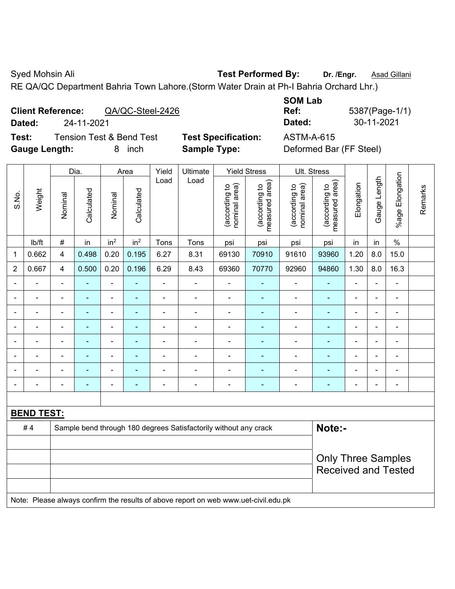Syed Mohsin Ali **Test Performed By:** Dr. /Engr. **Asad Gillani** Cyed Mohsin Ali

RE QA/QC Department Bahria Town Lahore.(Storm Water Drain at Ph-I Bahria Orchard Lhr.)

| <b>Client Reference:</b> |            | QA/QC-Steel-2426 |
|--------------------------|------------|------------------|
| Dated:                   | 24-11-2021 |                  |

**Test:** Tension Test & Bend Test **Test Specification:** ASTM-A-615 **Gauge Length:** 8 inch **Sample Type:** Deformed Bar (FF Steel)

|                          |            |                  | <b>SOM Lab</b> |                |
|--------------------------|------------|------------------|----------------|----------------|
| <b>Client Reference:</b> |            | QA/QC-Steel-2426 | Ref:           | 5387(Page-1/1) |
| Dated:                   | 24-11-2021 |                  | Dated:         | 30-11-2021     |

|                |                   |                          | Dia.           |                          | Area            | Yield                        | Ultimate                                                         |                                | <b>Yield Stress</b>             | Ult. Stress                    |                                 |                          |                          |                 |         |
|----------------|-------------------|--------------------------|----------------|--------------------------|-----------------|------------------------------|------------------------------------------------------------------|--------------------------------|---------------------------------|--------------------------------|---------------------------------|--------------------------|--------------------------|-----------------|---------|
| S.No.          | Weight            | Nominal                  | Calculated     | Nominal                  | Calculated      | Load                         | Load                                                             | nominal area)<br>(according to | measured area)<br>(according to | nominal area)<br>(according to | (according to<br>measured area) | Elongation               | Gauge Length             | %age Elongation | Remarks |
|                | lb/ft             | $\#$                     | in             | in <sup>2</sup>          | in <sup>2</sup> | Tons                         | Tons                                                             | psi                            | psi                             | psi                            | psi                             | in                       | in                       | $\%$            |         |
| 1              | 0.662             | 4                        | 0.498          | 0.20                     | 0.195           | 6.27                         | 8.31                                                             | 69130                          | 70910                           | 91610                          | 93960                           | 1.20                     | 8.0                      | 15.0            |         |
| $\overline{2}$ | 0.667             | $\overline{4}$           | 0.500          | 0.20                     | 0.196           | 6.29                         | 8.43                                                             | 69360                          | 70770                           | 92960                          | 94860                           | 1.30                     | 8.0                      | 16.3            |         |
|                | $\blacksquare$    | $\overline{\phantom{a}}$ | $\blacksquare$ | $\overline{\phantom{a}}$ | ÷               | $\blacksquare$               | $\blacksquare$                                                   | $\blacksquare$                 |                                 | $\overline{a}$                 | $\blacksquare$                  | $\overline{\phantom{a}}$ |                          | $\blacksquare$  |         |
|                |                   | $\blacksquare$           | $\blacksquare$ | $\blacksquare$           | ۰               | $\overline{a}$               | ÷                                                                | $\blacksquare$                 | $\blacksquare$                  | ÷                              | $\blacksquare$                  | $\blacksquare$           |                          | $\blacksquare$  |         |
|                |                   | ٠                        |                | ÷                        | ÷               | $\blacksquare$               | $\blacksquare$                                                   | $\qquad \qquad \blacksquare$   |                                 |                                |                                 | $\blacksquare$           |                          | ÷               |         |
|                |                   | $\blacksquare$           | $\blacksquare$ | $\blacksquare$           | ۰               | $\blacksquare$               | $\blacksquare$                                                   | $\overline{a}$                 | ٠                               | $\blacksquare$                 | $\blacksquare$                  | $\overline{\phantom{0}}$ | $\overline{\phantom{0}}$ | $\blacksquare$  |         |
| $\blacksquare$ | $\blacksquare$    | $\blacksquare$           | $\blacksquare$ | ÷,                       | ۰               | $\overline{a}$               | $\blacksquare$                                                   | $\blacksquare$                 | ٠                               | $\blacksquare$                 | $\blacksquare$                  | $\blacksquare$           | $\blacksquare$           | $\blacksquare$  |         |
|                |                   | $\blacksquare$           | $\blacksquare$ | $\blacksquare$           | ۰               | $\blacksquare$               | ٠                                                                | $\blacksquare$                 |                                 | $\overline{\phantom{a}}$       | $\overline{\phantom{a}}$        | $\blacksquare$           |                          | $\blacksquare$  |         |
|                |                   |                          |                | L.                       |                 |                              | $\overline{\phantom{a}}$                                         | $\blacksquare$                 |                                 |                                |                                 |                          |                          | ÷               |         |
| $\blacksquare$ |                   | $\blacksquare$           | ٠              | $\overline{a}$           | -               | $\qquad \qquad \blacksquare$ | $\blacksquare$                                                   | $\qquad \qquad \blacksquare$   | $\overline{\phantom{0}}$        | $\overline{\phantom{a}}$       | ٠                               | $\blacksquare$           |                          | $\blacksquare$  |         |
|                |                   |                          |                |                          |                 |                              |                                                                  |                                |                                 |                                |                                 |                          |                          |                 |         |
|                | <b>BEND TEST:</b> |                          |                |                          |                 |                              |                                                                  |                                |                                 |                                |                                 |                          |                          |                 |         |
|                | #4                |                          |                |                          |                 |                              | Sample bend through 180 degrees Satisfactorily without any crack |                                |                                 |                                | Note:-                          |                          |                          |                 |         |
|                |                   |                          |                |                          |                 |                              |                                                                  |                                |                                 |                                |                                 |                          |                          |                 |         |
|                |                   |                          |                |                          |                 |                              |                                                                  |                                |                                 |                                | <b>Only Three Samples</b>       |                          |                          |                 |         |
|                |                   |                          |                |                          |                 |                              |                                                                  |                                |                                 | <b>Received and Tested</b>     |                                 |                          |                          |                 |         |
|                |                   |                          |                |                          |                 |                              |                                                                  |                                |                                 |                                |                                 |                          |                          |                 |         |

Note: Please always confirm the results of above report on web www.uet-civil.edu.pk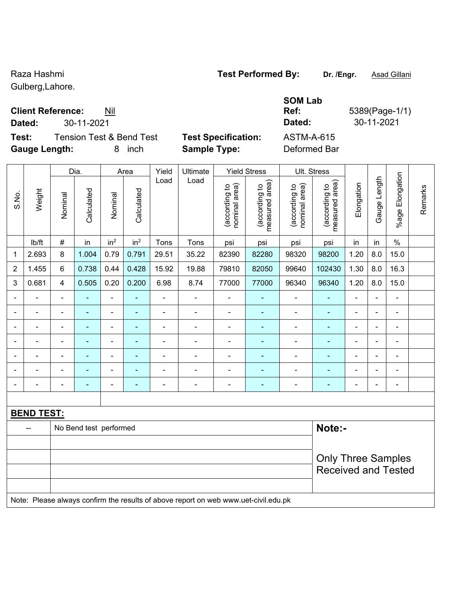Gulberg,Lahore.

### **Client Reference:** Nil

**Test:** Tension Test & Bend Test **Test Specification:** ASTM-A-615 **Gauge Length:** 8 inch **Sample Type:** Deformed Bar

|                   | <b>Client Reference:</b><br>Nıl |                            | Ref:       | 5389(Page-1 |
|-------------------|---------------------------------|----------------------------|------------|-------------|
| Dated:            | 30-11-2021                      |                            | Dated:     | 30-11-2021  |
| Test <sup>.</sup> | Tension Test & Rend Test.       | <b>Test Specification:</b> | ASTM-A-615 |             |

**SOM Lab Ref:** 5389(Page-1/1)

Received and Tested

|                          |                   |                          | Dia.           |                 | Area            | Yield          | Ultimate |                                | <b>Yield Stress</b>             | Ult. Stress                    |                                 |                           |                          |                       |         |  |
|--------------------------|-------------------|--------------------------|----------------|-----------------|-----------------|----------------|----------|--------------------------------|---------------------------------|--------------------------------|---------------------------------|---------------------------|--------------------------|-----------------------|---------|--|
| S.No.                    | Weight            | Nominal                  | Calculated     | Nominal         | Calculated      | Load           | Load     | nominal area)<br>(according to | measured area)<br>(according to | (according to<br>nominal area) | measured area)<br>(according to | Elongation                | Gauge Length             | Elongation<br>$%$ age | Remarks |  |
|                          | lb/ft             | $\#$                     | in             | in <sup>2</sup> | in <sup>2</sup> | Tons           | Tons     | psi                            | psi                             | psi                            | psi                             | in                        | in                       | $\%$                  |         |  |
| $\mathbf 1$              | 2.693             | 8                        | 1.004          | 0.79            | 0.791           | 29.51          | 35.22    | 82390                          | 82280                           | 98320                          | 98200                           | 1.20                      | 8.0                      | 15.0                  |         |  |
| $\overline{2}$           | 1.455             | 6                        | 0.738          | 0.44            | 0.428           | 15.92          | 19.88    | 79810                          | 82050                           | 99640                          | 102430                          | 1.30                      | 8.0                      | 16.3                  |         |  |
| 3                        | 0.681             | $\overline{\mathbf{4}}$  | 0.505          | 0.20            | 0.200           | 6.98           | 8.74     | 77000                          | 77000                           | 96340                          | 96340                           | 1.20                      | 8.0                      | 15.0                  |         |  |
| $\blacksquare$           |                   | $\overline{\phantom{0}}$ |                |                 | ۰               |                |          | $\qquad \qquad \blacksquare$   |                                 | $\overline{a}$                 | $\blacksquare$                  |                           | $\blacksquare$           |                       |         |  |
|                          |                   |                          | -              | -               | ۰               | -              |          |                                |                                 |                                | $\overline{\phantom{0}}$        | $\blacksquare$            |                          | $\overline{a}$        |         |  |
| $\blacksquare$           | $\blacksquare$    | $\overline{\phantom{0}}$ | $\blacksquare$ | ۰               | ۰               | $\blacksquare$ |          | $\blacksquare$                 | ٠                               | ۰                              | $\blacksquare$                  | ۰                         | $\overline{\phantom{0}}$ | $\blacksquare$        |         |  |
| $\blacksquare$           |                   | $\blacksquare$           | -              | $\blacksquare$  |                 |                |          |                                |                                 |                                | ۰                               | ۰                         | $\overline{\phantom{0}}$ | $\blacksquare$        |         |  |
| $\overline{\phantom{0}}$ |                   |                          |                |                 |                 |                |          |                                |                                 |                                |                                 |                           |                          | $\blacksquare$        |         |  |
| $\blacksquare$           |                   |                          | -              | $\blacksquare$  |                 |                |          |                                |                                 |                                |                                 |                           |                          |                       |         |  |
|                          |                   |                          |                |                 |                 |                |          |                                |                                 |                                |                                 |                           |                          |                       |         |  |
|                          |                   |                          |                |                 |                 |                |          |                                |                                 |                                |                                 |                           |                          |                       |         |  |
|                          | <b>BEND TEST:</b> |                          |                |                 |                 |                |          |                                |                                 |                                |                                 |                           |                          |                       |         |  |
|                          |                   | No Bend test performed   |                |                 |                 |                |          |                                |                                 |                                | Note:-                          |                           |                          |                       |         |  |
|                          |                   |                          |                |                 |                 |                |          |                                |                                 |                                |                                 | <b>Only Three Samples</b> |                          |                       |         |  |

Note: Please always confirm the results of above report on web www.uet-civil.edu.pk

Raza Hashmi **Test Performed By:** Dr. /Engr. **Asad Gillani** Caza Hashmi and Dr. *Asad Gillani*